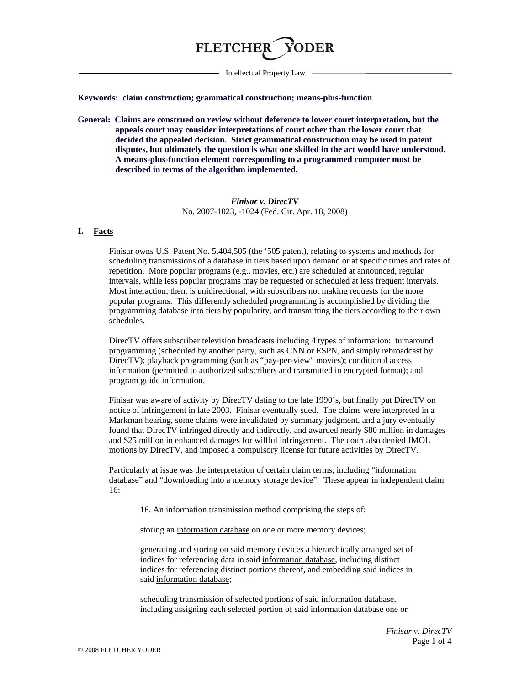

Intellectual Property Law

**Keywords: claim construction; grammatical construction; means-plus-function**

**General: Claims are construed on review without deference to lower court interpretation, but the appeals court may consider interpretations of court other than the lower court that decided the appealed decision. Strict grammatical construction may be used in patent disputes, but ultimately the question is what one skilled in the art would have understood. A means-plus-function element corresponding to a programmed computer must be described in terms of the algorithm implemented.**

> *Finisar v. DirecTV* No. 2007-1023, -1024 (Fed. Cir. Apr. 18, 2008)

## **I. Facts**

Finisar owns U.S. Patent No. 5,404,505 (the '505 patent), relating to systems and methods for scheduling transmissions of a database in tiers based upon demand or at specific times and rates of repetition. More popular programs (e.g., movies, etc.) are scheduled at announced, regular intervals, while less popular programs may be requested or scheduled at less frequent intervals. Most interaction, then, is unidirectional, with subscribers not making requests for the more popular programs. This differently scheduled programming is accomplished by dividing the programming database into tiers by popularity, and transmitting the tiers according to their own schedules.

DirecTV offers subscriber television broadcasts including 4 types of information: turnaround programming (scheduled by another party, such as CNN or ESPN, and simply rebroadcast by DirecTV); playback programming (such as "pay-per-view" movies); conditional access information (permitted to authorized subscribers and transmitted in encrypted format); and program guide information.

Finisar was aware of activity by DirecTV dating to the late 1990's, but finally put DirecTV on notice of infringement in late 2003. Finisar eventually sued. The claims were interpreted in a Markman hearing, some claims were invalidated by summary judgment, and a jury eventually found that DirecTV infringed directly and indirectly, and awarded nearly \$80 million in damages and \$25 million in enhanced damages for willful infringement. The court also denied JMOL motions by DirecTV, and imposed a compulsory license for future activities by DirecTV.

Particularly at issue was the interpretation of certain claim terms, including "information database" and "downloading into a memory storage device". These appear in independent claim 16:

16. An information transmission method comprising the steps of:

storing an information database on one or more memory devices;

generating and storing on said memory devices a hierarchically arranged set of indices for referencing data in said information database, including distinct indices for referencing distinct portions thereof, and embedding said indices in said information database;

scheduling transmission of selected portions of said information database, including assigning each selected portion of said information database one or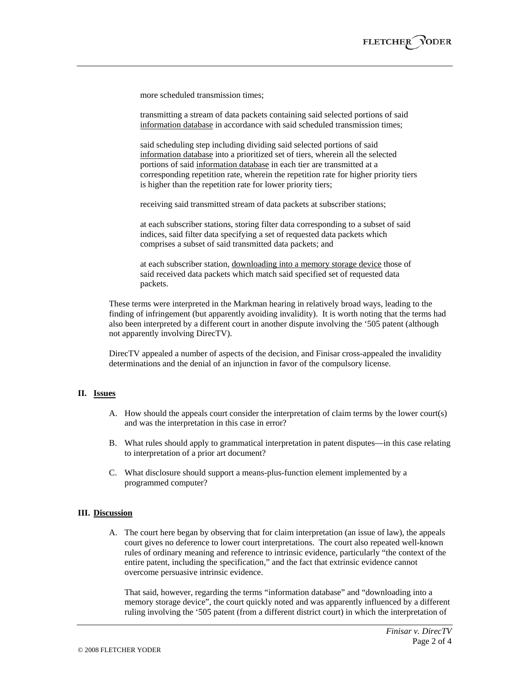more scheduled transmission times;

transmitting a stream of data packets containing said selected portions of said information database in accordance with said scheduled transmission times;

said scheduling step including dividing said selected portions of said information database into a prioritized set of tiers, wherein all the selected portions of said information database in each tier are transmitted at a corresponding repetition rate, wherein the repetition rate for higher priority tiers is higher than the repetition rate for lower priority tiers;

receiving said transmitted stream of data packets at subscriber stations;

at each subscriber stations, storing filter data corresponding to a subset of said indices, said filter data specifying a set of requested data packets which comprises a subset of said transmitted data packets; and

at each subscriber station, downloading into a memory storage device those of said received data packets which match said specified set of requested data packets.

These terms were interpreted in the Markman hearing in relatively broad ways, leading to the finding of infringement (but apparently avoiding invalidity). It is worth noting that the terms had also been interpreted by a different court in another dispute involving the '505 patent (although not apparently involving DirecTV).

DirecTV appealed a number of aspects of the decision, and Finisar cross-appealed the invalidity determinations and the denial of an injunction in favor of the compulsory license.

### **II. Issues**

- A. How should the appeals court consider the interpretation of claim terms by the lower court(s) and was the interpretation in this case in error?
- B. What rules should apply to grammatical interpretation in patent disputes—in this case relating to interpretation of a prior art document?
- C. What disclosure should support a means-plus-function element implemented by a programmed computer?

## **III. Discussion**

A. The court here began by observing that for claim interpretation (an issue of law), the appeals court gives no deference to lower court interpretations. The court also repeated well-known rules of ordinary meaning and reference to intrinsic evidence, particularly "the context of the entire patent, including the specification," and the fact that extrinsic evidence cannot overcome persuasive intrinsic evidence.

That said, however, regarding the terms "information database" and "downloading into a memory storage device", the court quickly noted and was apparently influenced by a different ruling involving the '505 patent (from a different district court) in which the interpretation of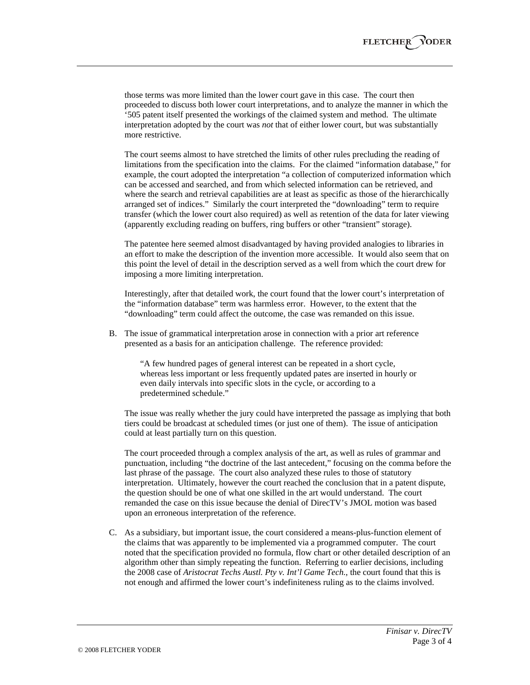those terms was more limited than the lower court gave in this case. The court then proceeded to discuss both lower court interpretations, and to analyze the manner in which the '505 patent itself presented the workings of the claimed system and method. The ultimate interpretation adopted by the court was *not* that of either lower court, but was substantially more restrictive.

The court seems almost to have stretched the limits of other rules precluding the reading of limitations from the specification into the claims. For the claimed "information database," for example, the court adopted the interpretation "a collection of computerized information which can be accessed and searched, and from which selected information can be retrieved, and where the search and retrieval capabilities are at least as specific as those of the hierarchically arranged set of indices." Similarly the court interpreted the "downloading" term to require transfer (which the lower court also required) as well as retention of the data for later viewing (apparently excluding reading on buffers, ring buffers or other "transient" storage).

The patentee here seemed almost disadvantaged by having provided analogies to libraries in an effort to make the description of the invention more accessible. It would also seem that on this point the level of detail in the description served as a well from which the court drew for imposing a more limiting interpretation.

Interestingly, after that detailed work, the court found that the lower court's interpretation of the "information database" term was harmless error. However, to the extent that the "downloading" term could affect the outcome, the case was remanded on this issue.

B. The issue of grammatical interpretation arose in connection with a prior art reference presented as a basis for an anticipation challenge. The reference provided:

"A few hundred pages of general interest can be repeated in a short cycle, whereas less important or less frequently updated pates are inserted in hourly or even daily intervals into specific slots in the cycle, or according to a predetermined schedule."

The issue was really whether the jury could have interpreted the passage as implying that both tiers could be broadcast at scheduled times (or just one of them). The issue of anticipation could at least partially turn on this question.

The court proceeded through a complex analysis of the art, as well as rules of grammar and punctuation, including "the doctrine of the last antecedent," focusing on the comma before the last phrase of the passage. The court also analyzed these rules to those of statutory interpretation. Ultimately, however the court reached the conclusion that in a patent dispute, the question should be one of what one skilled in the art would understand. The court remanded the case on this issue because the denial of DirecTV's JMOL motion was based upon an erroneous interpretation of the reference.

C. As a subsidiary, but important issue, the court considered a means-plus-function element of the claims that was apparently to be implemented via a programmed computer. The court noted that the specification provided no formula, flow chart or other detailed description of an algorithm other than simply repeating the function. Referring to earlier decisions, including the 2008 case of *Aristocrat Techs Austl. Pty v. Int'l Game Tech.*, the court found that this is not enough and affirmed the lower court's indefiniteness ruling as to the claims involved.